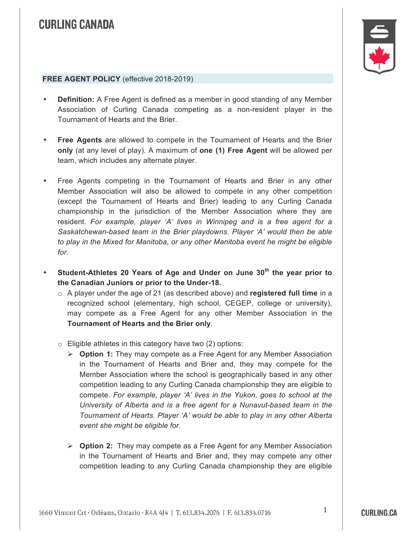## **CURLING CANADA**



## **FREE AGENT POLICY** (effective 2018-2019)

- **Definition:** A Free Agent is defined as a member in good standing of any Member Association of Curling Canada competing as a non-resident player in the Tournament of Hearts and the Brier.
- **Free Agents** are allowed to compete in the Tournament of Hearts and the Brier **only** (at any level of play). A maximum of **one (1) Free Agent** will be allowed per team, which includes any alternate player.
- Free Agents competing in the Tournament of Hearts and Brier in any other Member Association will also be allowed to compete in any other competition (except the Tournament of Hearts and Brier) leading to any Curling Canada championship in the jurisdiction of the Member Association where they are resident. *For example, player 'A' lives in Winnipeg and is a free agent for a Saskatchewan-based team in the Brier playdowns. Player 'A' would then be able to play in the Mixed for Manitoba, or any other Manitoba event he might be eligible for.*
- **Student-Athletes 20 Years of Age and Under on June 30th the year prior to the Canadian Juniors or prior to the Under-18.**
	- o A player under the age of 21 (as described above) and **registered full time** in a recognized school (elementary, high school, CEGEP, college or university), may compete as a Free Agent for any other Member Association in the **Tournament of Hearts and the Brier only**.
	- $\circ$  Eligible athletes in this category have two (2) options:
		- Ø **Option 1:** They may compete as a Free Agent for any Member Association in the Tournament of Hearts and Brier and, they may compete for the Member Association where the school is geographically based in any other competition leading to any Curling Canada championship they are eligible to compete. *For example, player 'A' lives in the Yukon, goes to school at the University of Alberta and is a free agent for a Nunavut-based team in the Tournament of Hearts. Player 'A' would be able to play in any other Alberta event she might be eligible for.*
		- Ø **Option 2:** They may compete as a Free Agent for any Member Association in the Tournament of Hearts and Brier and, they may compete any other competition leading to any Curling Canada championship they are eligible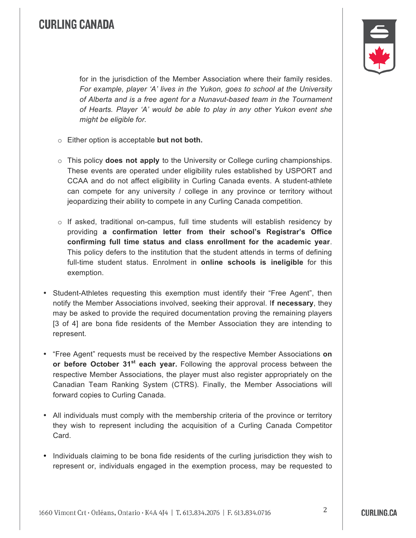## **CURLING CANADA**



for in the jurisdiction of the Member Association where their family resides. *For example, player 'A' lives in the Yukon, goes to school at the University of Alberta and is a free agent for a Nunavut-based team in the Tournament of Hearts. Player 'A' would be able to play in any other Yukon event she might be eligible for.*

- o Either option is acceptable **but not both.**
- o This policy **does not apply** to the University or College curling championships. These events are operated under eligibility rules established by USPORT and CCAA and do not affect eligibility in Curling Canada events. A student-athlete can compete for any university / college in any province or territory without jeopardizing their ability to compete in any Curling Canada competition.
- $\circ$  If asked, traditional on-campus, full time students will establish residency by providing **a confirmation letter from their school's Registrar's Office confirming full time status and class enrollment for the academic year**. This policy defers to the institution that the student attends in terms of defining full-time student status. Enrolment in **online schools is ineligible** for this exemption.
- Student-Athletes requesting this exemption must identify their "Free Agent", then notify the Member Associations involved, seeking their approval. I**f necessary**, they may be asked to provide the required documentation proving the remaining players [3 of 4] are bona fide residents of the Member Association they are intending to represent.
- "Free Agent" requests must be received by the respective Member Associations **on or before October 31st each year.** Following the approval process between the respective Member Associations, the player must also register appropriately on the Canadian Team Ranking System (CTRS). Finally, the Member Associations will forward copies to Curling Canada.
- All individuals must comply with the membership criteria of the province or territory they wish to represent including the acquisition of a Curling Canada Competitor Card.
- Individuals claiming to be bona fide residents of the curling jurisdiction they wish to represent or, individuals engaged in the exemption process, may be requested to